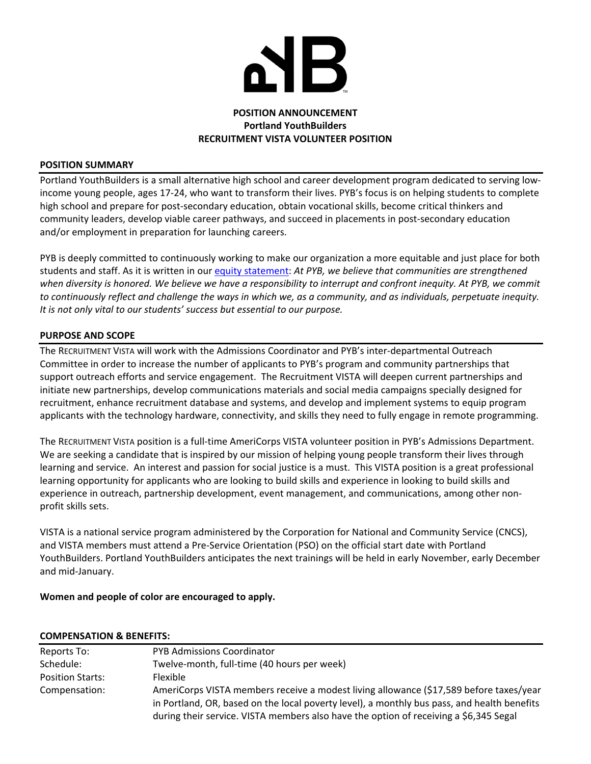

# **POSITION ANNOUNCEMENT Portland YouthBuilders RECRUITMENT VISTA VOLUNTEER POSITION**

### **POSITION SUMMARY**

Portland YouthBuilders is a small alternative high school and career development program dedicated to serving low‐ income young people, ages 17‐24, who want to transform their lives. PYB's focus is on helping students to complete high school and prepare for post-secondary education, obtain vocational skills, become critical thinkers and community leaders, develop viable career pathways, and succeed in placements in post‐secondary education and/or employment in preparation for launching careers.

PYB is deeply committed to continuously working to make our organization a more equitable and just place for both students and staff. As it is written in our equity statement: *At PYB, we believe that communities are strengthened* when diversity is honored. We believe we have a responsibility to interrupt and confront inequity. At PYB, we commit to continuously reflect and challenge the ways in which we, as a community, and as individuals, perpetuate inequity. *It is not only vital to our students' success but essential to our purpose.*

### **PURPOSE AND SCOPE**

The RECRUITMENT VISTA will work with the Admissions Coordinator and PYB's inter‐departmental Outreach Committee in order to increase the number of applicants to PYB's program and community partnerships that support outreach efforts and service engagement. The Recruitment VISTA will deepen current partnerships and initiate new partnerships, develop communications materials and social media campaigns specially designed for recruitment, enhance recruitment database and systems, and develop and implement systems to equip program applicants with the technology hardware, connectivity, and skills they need to fully engage in remote programming.

The RECRUITMENT VISTA position is a full‐time AmeriCorps VISTA volunteer position in PYB's Admissions Department. We are seeking a candidate that is inspired by our mission of helping young people transform their lives through learning and service. An interest and passion for social justice is a must. This VISTA position is a great professional learning opportunity for applicants who are looking to build skills and experience in looking to build skills and experience in outreach, partnership development, event management, and communications, among other non‐ profit skills sets.

VISTA is a national service program administered by the Corporation for National and Community Service (CNCS), and VISTA members must attend a Pre‐Service Orientation (PSO) on the official start date with Portland YouthBuilders. Portland YouthBuilders anticipates the next trainings will be held in early November, early December and mid‐January.

## **Women and people of color are encouraged to apply.**

#### **COMPENSATION & BENEFITS:**

| Reports To:             | <b>PYB Admissions Coordinator</b>                                                                                                                                                                                                                                              |
|-------------------------|--------------------------------------------------------------------------------------------------------------------------------------------------------------------------------------------------------------------------------------------------------------------------------|
| Schedule:               | Twelve-month, full-time (40 hours per week)                                                                                                                                                                                                                                    |
| <b>Position Starts:</b> | Flexible                                                                                                                                                                                                                                                                       |
| Compensation:           | AmeriCorps VISTA members receive a modest living allowance (\$17,589 before taxes/year<br>in Portland, OR, based on the local poverty level), a monthly bus pass, and health benefits<br>during their service. VISTA members also have the option of receiving a \$6,345 Segal |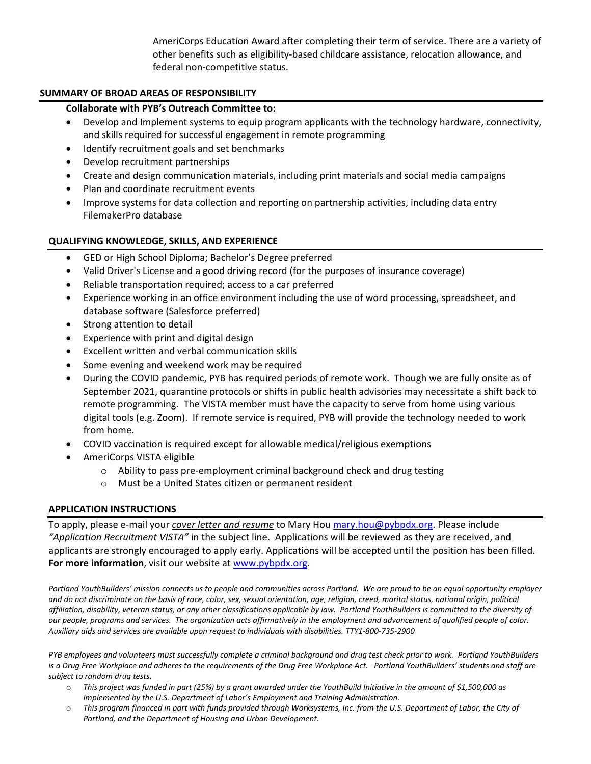AmeriCorps Education Award after completing their term of service. There are a variety of other benefits such as eligibility‐based childcare assistance, relocation allowance, and federal non‐competitive status.

## **SUMMARY OF BROAD AREAS OF RESPONSIBILITY**

# **Collaborate with PYB's Outreach Committee to:**

- Develop and Implement systems to equip program applicants with the technology hardware, connectivity, and skills required for successful engagement in remote programming
- Identify recruitment goals and set benchmarks
- Develop recruitment partnerships
- Create and design communication materials, including print materials and social media campaigns
- Plan and coordinate recruitment events
- Improve systems for data collection and reporting on partnership activities, including data entry FilemakerPro database

# **QUALIFYING KNOWLEDGE, SKILLS, AND EXPERIENCE**

- GED or High School Diploma; Bachelor's Degree preferred
- Valid Driver's License and a good driving record (for the purposes of insurance coverage)
- Reliable transportation required; access to a car preferred
- Experience working in an office environment including the use of word processing, spreadsheet, and database software (Salesforce preferred)
- Strong attention to detail
- Experience with print and digital design
- Excellent written and verbal communication skills
- Some evening and weekend work may be required
- During the COVID pandemic, PYB has required periods of remote work. Though we are fully onsite as of September 2021, quarantine protocols or shifts in public health advisories may necessitate a shift back to remote programming. The VISTA member must have the capacity to serve from home using various digital tools (e.g. Zoom). If remote service is required, PYB will provide the technology needed to work from home.
- COVID vaccination is required except for allowable medical/religious exemptions
- AmeriCorps VISTA eligible
	- o Ability to pass pre‐employment criminal background check and drug testing
	- o Must be a United States citizen or permanent resident

## **APPLICATION INSTRUCTIONS**

To apply, please e‐mail your *cover letter and resume* to Mary Hou mary.hou@pybpdx.org. Please include *"Application Recruitment VISTA"* in the subject line.Applications will be reviewed as they are received, and applicants are strongly encouraged to apply early. Applications will be accepted until the position has been filled. **For more information**, visit our website at www.pybpdx.org.

Portland YouthBuilders' mission connects us to people and communities across Portland. We are proud to be an equal opportunity employer and do not discriminate on the basis of race, color, sex, sexual orientation, age, religion, creed, marital status, national origin, political affiliation, disability, veteran status, or any other classifications applicable by law. Portland YouthBuilders is committed to the diversity of our people, programs and services. The organization acts affirmatively in the employment and advancement of qualified people of color. Auxiliary aids and services are available upon request to individuals with disabilities. TTY1-800-735-2900

PYB employees and volunteers must successfully complete a criminal background and drug test check prior to work. Portland YouthBuilders is a Drug Free Workplace and adheres to the requirements of the Drug Free Workplace Act. Portland YouthBuilders' students and staff are *subject to random drug tests.*

- $\circ$  This project was funded in part (25%) by a grant awarded under the YouthBuild Initiative in the amount of \$1,500,000 as *implemented by the U.S. Department of Labor's Employment and Training Administration.*
- o This program financed in part with funds provided through Worksystems, Inc. from the U.S. Department of Labor, the City of *Portland, and the Department of Housing and Urban Development.*